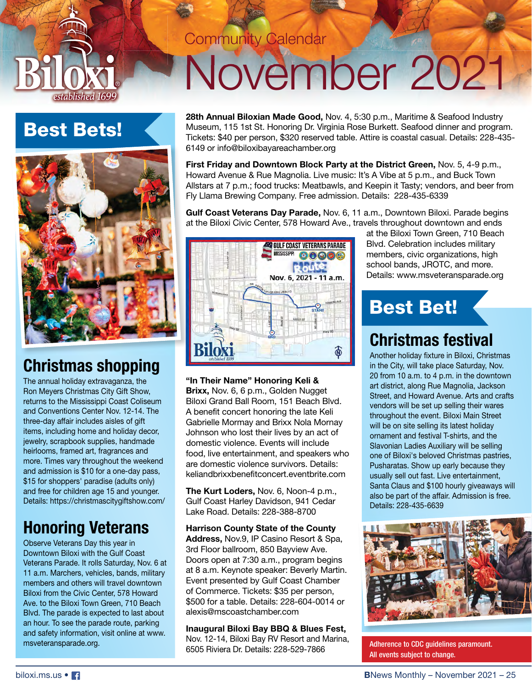

# Best Bets!



## **Christmas shopping**

The annual holiday extravaganza, the Ron Meyers Christmas City Gift Show, returns to the Mississippi Coast Coliseum and Conventions Center Nov. 12-14. The three-day affair includes aisles of gift items, including home and holiday decor, jewelry, scrapbook supplies, handmade heirlooms, framed art, fragrances and more. Times vary throughout the weekend and admission is \$10 for a one-day pass, \$15 for shoppers' paradise (adults only) and free for children age 15 and younger. Details: https://christmascitygiftshow.com/

## **Honoring Veterans**

Observe Veterans Day this year in Downtown Biloxi with the Gulf Coast Veterans Parade. It rolls Saturday, Nov. 6 at 11 a.m. Marchers, vehicles, bands, military members and others will travel downtown Biloxi from the Civic Center, 578 Howard Ave. to the Biloxi Town Green, 710 Beach Blvd. The parade is expected to last about an hour. To see the parade route, parking and safety information, visit online at www. msveteransparade.org.

## **Community Calendar**

# November 2021

**28th Annual Biloxian Made Good,** Nov. 4, 5:30 p.m., Maritime & Seafood Industry Museum, 115 1st St. Honoring Dr. Virginia Rose Burkett. Seafood dinner and program. Tickets: \$40 per person, \$320 reserved table. Attire is coastal casual. Details: 228-435- 6149 or info@biloxibayareachamber.org

**First Friday and Downtown Block Party at the District Green,** Nov. 5, 4-9 p.m., Howard Avenue & Rue Magnolia. Live music: It's A Vibe at 5 p.m., and Buck Town Allstars at 7 p.m.; food trucks: Meatbawls, and Keepin it Tasty; vendors, and beer from Fly Llama Brewing Company. Free admission. Details: 228-435-6339

**Gulf Coast Veterans Day Parade,** Nov. 6, 11 a.m., Downtown Biloxi. Parade begins at the Biloxi Civic Center, 578 Howard Ave., travels throughout downtown and ends



**"In Their Name" Honoring Keli & Brixx,** Nov. 6, 6 p.m., Golden Nugget Biloxi Grand Ball Room, 151 Beach Blvd. A benefit concert honoring the late Keli Gabrielle Mormay and Brixx Nola Mornay Johnson who lost their lives by an act of domestic violence. Events will include food, live entertainment, and speakers who are domestic violence survivors. Details: keliandbrixxbenefitconcert.eventbrite.com

**The Kurt Loders,** Nov. 6, Noon-4 p.m., Gulf Coast Harley Davidson, 941 Cedar Lake Road. Details: 228-388-8700

**Harrison County State of the County Address,** Nov.9, IP Casino Resort & Spa, 3rd Floor ballroom, 850 Bayview Ave. Doors open at 7:30 a.m., program begins at 8 a.m. Keynote speaker: Beverly Martin. Event presented by Gulf Coast Chamber of Commerce. Tickets: \$35 per person, \$500 for a table. Details: 228-604-0014 or alexis@mscoastchamber.com

**Inaugural Biloxi Bay BBQ & Blues Fest,** Nov. 12-14, Biloxi Bay RV Resort and Marina,  $\frac{6505 \text{ Rivera Dr. Detaus Bay RV}}{6505 \text{ Riviera Dr. Detais: } 228-529-7866}$  Adherence to CDC guidelines paramount.

at the Biloxi Town Green, 710 Beach Blvd. Celebration includes military members, civic organizations, high school bands, JROTC, and more. Details: www.msveteransparade.org

# Best Bet!

## **Christmas festival**

Another holiday fixture in Biloxi, Christmas in the City, will take place Saturday, Nov. 20 from 10 a.m. to 4 p.m. in the downtown art district, along Rue Magnolia, Jackson Street, and Howard Avenue. Arts and crafts vendors will be set up selling their wares throughout the event. Biloxi Main Street will be on site selling its latest holiday ornament and festival T-shirts, and the Slavonian Ladies Auxiliary will be selling one of Biloxi's beloved Christmas pastries, Pusharatas. Show up early because they usually sell out fast. Live entertainment, Santa Claus and \$100 hourly giveaways will also be part of the affair. Admission is free. Details: 228-435-6639



All events subject to change.

biloxi.ms.us • **1**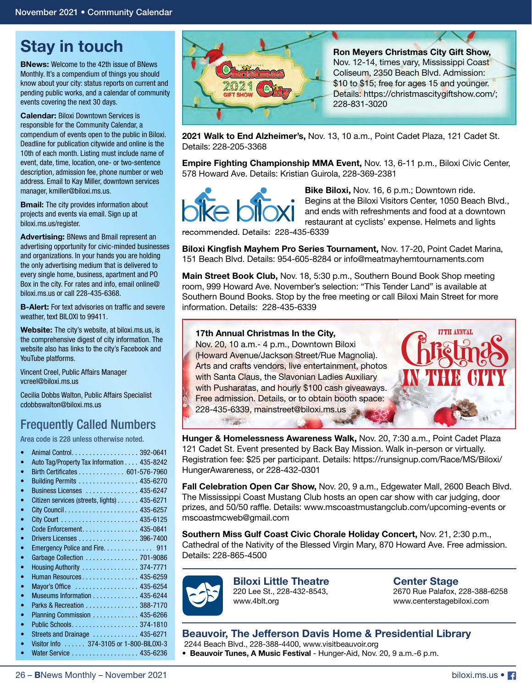## **Stay in touch**

**BNews:** Welcome to the 42th issue of BNews Monthly. It's a compendium of things you should know about your city: status reports on current and pending public works, and a calendar of community events covering the next 30 days.

**Calendar:** Biloxi Downtown Services is responsible for the Community Calendar, a compendium of events open to the public in Biloxi. Deadline for publication citywide and online is the 10th of each month. Listing must include name of event, date, time, location, one- or two-sentence description, admission fee, phone number or web address. Email to Kay Miller, downtown services manager, kmiller@biloxi.ms.us.

**Bmail:** The city provides information about projects and events via email. Sign up at biloxi.ms.us/register.

**Advertising:** BNews and Bmail represent an advertising opportunity for civic-minded businesses and organizations. In your hands you are holding the only advertising medium that is delivered to every single home, business, apartment and PO Box in the city. For rates and info, email online@ biloxi.ms.us or call 228-435-6368.

**B-Alert:** For text advisories on traffic and severe weather, text BILOXI to 99411.

**Website:** The city's website, at biloxi.ms.us, is the comprehensive digest of city information. The website also has links to the city's Facebook and YouTube platforms.

Vincent Creel, Public Affairs Manager vcreel@biloxi.ms.us

Cecilia Dobbs Walton, Public Affairs Specialist cdobbswalton@biloxi.ms.us

## Frequently Called Numbers

Area code is 228 unless otherwise noted.

| ۰         | Auto Tag/Property Tax Information 435-8242  |
|-----------|---------------------------------------------|
| $\bullet$ | Birth Certificates 601-576-7960             |
| $\bullet$ | Building Permits 435-6270                   |
| ۰         | Business Licenses  435-6247                 |
| ۰         | Citizen services (streets, lights) 435-6271 |
| $\bullet$ |                                             |
| ۰         |                                             |
| ۰         | Code Enforcement. 435-0841                  |
| $\bullet$ | Drivers Licenses 396-7400                   |
| $\bullet$ |                                             |
| ۰         | Garbage Collection 701-9086                 |
| $\bullet$ | Housing Authority  374-7771                 |
| ۰         | Human Resources 435-6259                    |
| $\bullet$ | Mayor's Office  435-6254                    |
| $\bullet$ | Museums Information 435-6244                |
| $\bullet$ | Parks & Recreation 388-7170                 |
| $\bullet$ | Planning Commission 435-6266                |
| $\bullet$ |                                             |
| $\bullet$ | Streets and Drainage  435-6271              |
| ۰         | Visitor Info 374-3105 or 1-800-BILOXI-3     |
|           | Water Service 435-6236                      |
|           |                                             |



**Ron Meyers Christmas City Gift Show,** Nov. 12-14, times vary, Mississippi Coast Coliseum, 2350 Beach Blvd. Admission: \$10 to \$15; free for ages 15 and younger. Details: https://christmascitygiftshow.com/; 228-831-3020

**2021 Walk to End Alzheimer's,** Nov. 13, 10 a.m., Point Cadet Plaza, 121 Cadet St. Details: 228-205-3368

**Empire Fighting Championship MMA Event,** Nov. 13, 6-11 p.m., Biloxi Civic Center, 578 Howard Ave. Details: Kristian Guirola, 228-369-2381



**Bike Biloxi,** Nov. 16, 6 p.m.; Downtown ride. Begins at the Biloxi Visitors Center, 1050 Beach Blvd., and ends with refreshments and food at a downtown restaurant at cyclists' expense. Helmets and lights

recommended. Details: 228-435-6339

**Biloxi Kingfish Mayhem Pro Series Tournament, Nov. 17-20, Point Cadet Marina,** 151 Beach Blvd. Details: 954-605-8284 or info@meatmayhemtournaments.com

**Main Street Book Club,** Nov. 18, 5:30 p.m., Southern Bound Book Shop meeting room, 999 Howard Ave. November's selection: "This Tender Land" is available at Southern Bound Books. Stop by the free meeting or call Biloxi Main Street for more information. Details: 228-435-6339

#### **17th Annual Christmas In the City,** Nov. 20, 10 a.m.- 4 p.m., Downtown Biloxi (Howard Avenue/Jackson Street/Rue Magnolia). Arts and crafts vendors, live entertainment, photos with Santa Claus, the Slavonian Ladies Auxiliary with Pusharatas, and hourly \$100 cash giveaways. Free admission. Details, or to obtain booth space: 228-435-6339, mainstreet@biloxi.ms.us

**Hunger & Homelessness Awareness Walk,** Nov. 20, 7:30 a.m., Point Cadet Plaza 121 Cadet St. Event presented by Back Bay Mission. Walk in-person or virtually. Registration fee: \$25 per participant. Details: https://runsignup.com/Race/MS/Biloxi/ HungerAwareness, or 228-432-0301

**Fall Celebration Open Car Show,** Nov. 20, 9 a.m., Edgewater Mall, 2600 Beach Blvd. The Mississippi Coast Mustang Club hosts an open car show with car judging, door prizes, and 50/50 raffle. Details: www.mscoastmustangclub.com/upcoming-events or mscoastmcweb@gmail.com

**Southern Miss Gulf Coast Civic Chorale Holiday Concert,** Nov. 21, 2:30 p.m., Cathedral of the Nativity of the Blessed Virgin Mary, 870 Howard Ave. Free admission. Details: 228-865-4500



**Biloxi Little Theatre** 220 Lee St., 228-432-8543,

www.4blt.org

#### **Center Stage**

2670 Rue Palafox, 228-388-6258 www.centerstagebiloxi.com

**ITTH ANNUAL** 

#### **Beauvoir, The Jefferson Davis Home & Presidential Library**

2244 Beach Blvd., 228-388-4400, www.visitbeauvoir.org

**• Beauvoir Tunes, A Music Festival** - Hunger-Aid, Nov. 20, 9 a.m.-6 p.m.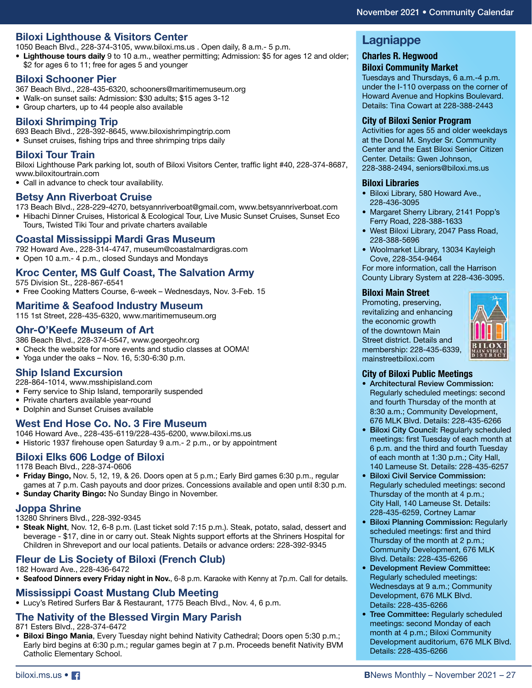#### **Biloxi Lighthouse & Visitors Center**

1050 Beach Blvd., 228-374-3105, www.biloxi.ms.us . Open daily, 8 a.m.- 5 p.m.

**• Lighthouse tours daily** 9 to 10 a.m., weather permitting; Admission: \$5 for ages 12 and older; \$2 for ages 6 to 11; free for ages 5 and younger

#### **Biloxi Schooner Pier**

- 367 Beach Blvd., 228-435-6320, schooners@maritimemuseum.org
- Walk-on sunset sails: Admission: \$30 adults; \$15 ages 3-12
- Group charters, up to 44 people also available

#### **Biloxi Shrimping Trip**

693 Beach Blvd., 228-392-8645, www.biloxishrimpingtrip.com

• Sunset cruises, fishing trips and three shrimping trips daily

#### **Biloxi Tour Train**

Biloxi Lighthouse Park parking lot, south of Biloxi Visitors Center, traffic light #40, 228-374-8687, www.biloxitourtrain.com

• Call in advance to check tour availability.

#### **Betsy Ann Riverboat Cruise**

173 Beach Blvd., 228-229-4270, betsyannriverboat@gmail.com, www.betsyannriverboat.com

• Hibachi Dinner Cruises, Historical & Ecological Tour, Live Music Sunset Cruises, Sunset Eco Tours, Twisted Tiki Tour and private charters available

#### **Coastal Mississippi Mardi Gras Museum**

792 Howard Ave., 228-314-4747, museum@coastalmardigras.com • Open 10 a.m.- 4 p.m., closed Sundays and Mondays

#### **Kroc Center, MS Gulf Coast, The Salvation Army**

- 575 Division St., 228-867-6541
- Free Cooking Matters Course, 6-week Wednesdays, Nov. 3-Feb. 15

#### **Maritime & Seafood Industry Museum**

115 1st Street, 228-435-6320, www.maritimemuseum.org

#### **Ohr-O'Keefe Museum of Art**

- 386 Beach Blvd., 228-374-5547, www.georgeohr.org
- Check the website for more events and studio classes at OOMA!
- Yoga under the oaks Nov. 16, 5:30-6:30 p.m.

#### **Ship Island Excursion**

- 228-864-1014, www.msshipisland.com
- Ferry service to Ship Island, temporarily suspended
- Private charters available year-round
- Dolphin and Sunset Cruises available

#### **West End Hose Co. No. 3 Fire Museum**

1046 Howard Ave., 228-435-6119/228-435-6200, www.biloxi.ms.us • Historic 1937 firehouse open Saturday 9 a.m.- 2 p.m., or by appointment

#### **Biloxi Elks 606 Lodge of Biloxi**

1178 Beach Blvd., 228-374-0606

- **Friday Bingo,** Nov. 5, 12, 19, & 26. Doors open at 5 p.m.; Early Bird games 6:30 p.m., regular games at 7 p.m. Cash payouts and door prizes. Concessions available and open until 8:30 p.m.
- **Sunday Charity Bingo:** No Sunday Bingo in November.

#### **Joppa Shrine**

13280 Shriners Blvd., 228-392-9345

**• Steak Night**, Nov. 12, 6-8 p.m. (Last ticket sold 7:15 p.m.). Steak, potato, salad, dessert and beverage - \$17, dine in or carry out. Steak Nights support efforts at the Shriners Hospital for Children in Shreveport and our local patients. Details or advance orders: 228-392-9345

#### **Fleur de Lis Society of Biloxi (French Club)**

- 182 Howard Ave., 228-436-6472
- **Seafood Dinners every Friday night in Nov.**, 6-8 p.m. Karaoke with Kenny at 7p.m. Call for details.

#### **Mississippi Coast Mustang Club Meeting**

• Lucy's Retired Surfers Bar & Restaurant, 1775 Beach Blvd., Nov. 4, 6 p.m.

#### **The Nativity of the Blessed Virgin Mary Parish**

871 Esters Blvd., 228-374-6472

**• Biloxi Bingo Mania**, Every Tuesday night behind Nativity Cathedral; Doors open 5:30 p.m.; Early bird begins at 6:30 p.m.; regular games begin at 7 p.m. Proceeds benefit Nativity BVM Catholic Elementary School.

#### **Lagniappe**

#### **Charles R. Hegwood**

### **Biloxi Community Market**

Tuesdays and Thursdays, 6 a.m.-4 p.m. under the I-110 overpass on the corner of Howard Avenue and Hopkins Boulevard. Details: Tina Cowart at 228-388-2443

#### **City of Biloxi Senior Program**

Activities for ages 55 and older weekdays at the Donal M. Snyder Sr. Community Center and the East Biloxi Senior Citizen Center. Details: Gwen Johnson, 228-388-2494, seniors@biloxi.ms.us

#### **Biloxi Libraries**

- Biloxi Library, 580 Howard Ave., 228-436-3095
- Margaret Sherry Library, 2141 Popp's Ferry Road, 228-388-1633
- West Biloxi Library, 2047 Pass Road, 228-388-5696
- Woolmarket Library, 13034 Kayleigh Cove, 228-354-9464

For more information, call the Harrison County Library System at 228-436-3095.

#### **Biloxi Main Street**

Promoting, preserving, revitalizing and enhancing the economic growth of the downtown Main Street district. Details and membership: 228-435-6339, mainstreetbiloxi.com



#### **City of Biloxi Public Meetings**

- Architectural Review Commission: Regularly scheduled meetings: second and fourth Thursday of the month at 8:30 a.m.; Community Development, 676 MLK Blvd. Details: 228-435-6266
- Biloxi City Council: Regularly scheduled meetings: first Tuesday of each month at 6 p.m. and the third and fourth Tuesday of each month at 1:30 p.m.; City Hall, 140 Lameuse St. Details: 228-435-6257
- Biloxi Civil Service Commission: Regularly scheduled meetings: second Thursday of the month at 4 p.m.; City Hall, 140 Lameuse St. Details: 228-435-6259, Cortney Lamar
- Biloxi Planning Commission: Regularly scheduled meetings: first and third Thursday of the month at 2 p.m.; Community Development, 676 MLK Blvd. Details: 228-435-6266
- Development Review Committee: Regularly scheduled meetings: Wednesdays at 9 a.m.; Community Development, 676 MLK Blvd. Details: 228-435-6266
- Tree Committee: Regularly scheduled meetings: second Monday of each month at 4 p.m.; Biloxi Community Development auditorium, 676 MLK Blvd. Details: 228-435-6266